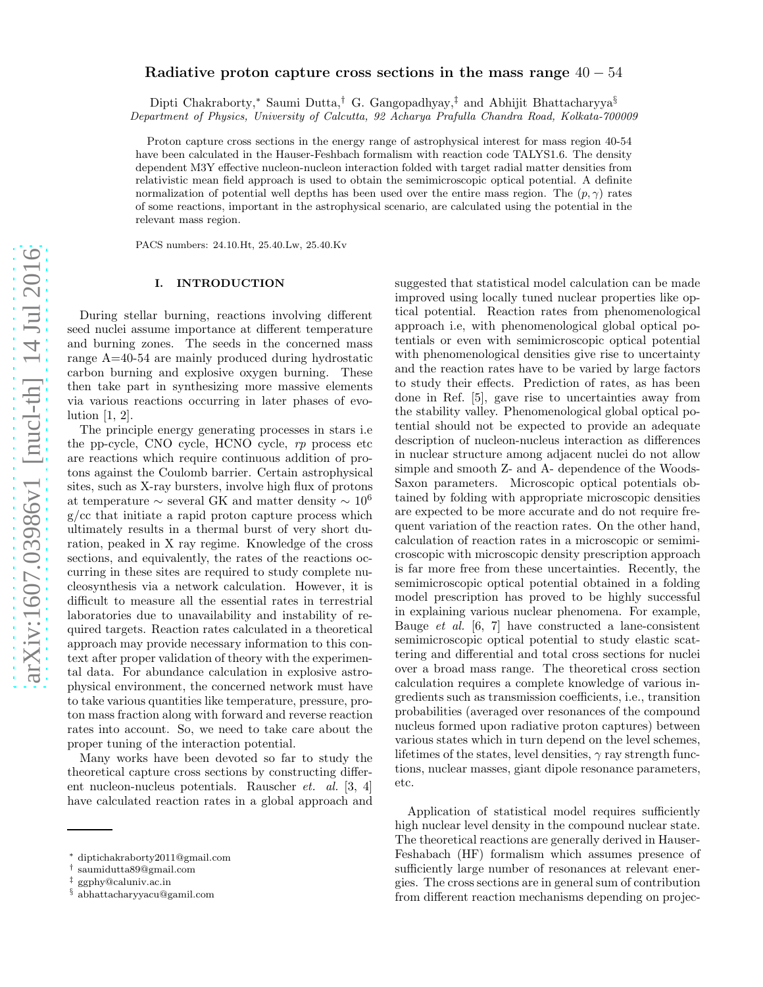# Radiative proton capture cross sections in the mass range  $40 - 54$

Dipti Chakraborty,<sup>∗</sup> Saumi Dutta,† G. Gangopadhyay,‡ and Abhijit Bhattacharyya§ Department of Physics, University of Calcutta, 92 Acharya Prafulla Chandra Road, Kolkata-700009

Proton capture cross sections in the energy range of astrophysical interest for mass region 40-54 have been calculated in the Hauser-Feshbach formalism with reaction code TALYS1.6. The density dependent M3Y effective nucleon-nucleon interaction folded with target radial matter densities from relativistic mean field approach is used to obtain the semimicroscopic optical potential. A definite normalization of potential well depths has been used over the entire mass region. The  $(p, \gamma)$  rates of some reactions, important in the astrophysical scenario, are calculated using the potential in the relevant mass region.

PACS numbers: 24.10.Ht, 25.40.Lw, 25.40.Kv

## I. INTRODUCTION

During stellar burning, reactions involving different seed nuclei assume importance at different temperature and burning zones. The seeds in the concerned mass range A=40-54 are mainly produced during hydrostatic carbon burning and explosive oxygen burning. These then take part in synthesizing more massive elements via various reactions occurring in later phases of evolution [1, 2].

The principle energy generating processes in stars i.e the pp-cycle, CNO cycle, HCNO cycle, rp process etc are reactions which require continuous addition of protons against the Coulomb barrier. Certain astrophysical sites, such as X-ray bursters, involve high flux of protons at temperature  $\sim$  several GK and matter density  $\sim 10^6$ g/cc that initiate a rapid proton capture process which ultimately results in a thermal burst of very short duration, peaked in X ray regime. Knowledge of the cross sections, and equivalently, the rates of the reactions occurring in these sites are required to study complete nucleosynthesis via a network calculation. However, it is difficult to measure all the essential rates in terrestrial laboratories due to unavailability and instability of required targets. Reaction rates calculated in a theoretical approach may provide necessary information to this context after proper validation of theory with the experimental data. For abundance calculation in explosive astrophysical environment, the concerned network must have to take various quantities like temperature, pressure, proton mass fraction along with forward and reverse reaction rates into account. So, we need to take care about the proper tuning of the interaction potential.

Many works have been devoted so far to study the theoretical capture cross sections by constructing different nucleon-nucleus potentials. Rauscher et. al. [3, 4] have calculated reaction rates in a global approach and suggested that statistical model calculation can be made improved using locally tuned nuclear properties like optical potential. Reaction rates from phenomenological approach i.e, with phenomenological global optical potentials or even with semimicroscopic optical potential with phenomenological densities give rise to uncertainty and the reaction rates have to be varied by large factors to study their effects. Prediction of rates, as has been done in Ref. [5], gave rise to uncertainties away from the stability valley. Phenomenological global optical potential should not be expected to provide an adequate description of nucleon-nucleus interaction as differences in nuclear structure among adjacent nuclei do not allow simple and smooth Z- and A- dependence of the Woods-Saxon parameters. Microscopic optical potentials obtained by folding with appropriate microscopic densities are expected to be more accurate and do not require frequent variation of the reaction rates. On the other hand, calculation of reaction rates in a microscopic or semimicroscopic with microscopic density prescription approach is far more free from these uncertainties. Recently, the semimicroscopic optical potential obtained in a folding model prescription has proved to be highly successful in explaining various nuclear phenomena. For example, Bauge et al. [6, 7] have constructed a lane-consistent semimicroscopic optical potential to study elastic scattering and differential and total cross sections for nuclei over a broad mass range. The theoretical cross section calculation requires a complete knowledge of various ingredients such as transmission coefficients, i.e., transition probabilities (averaged over resonances of the compound nucleus formed upon radiative proton captures) between various states which in turn depend on the level schemes, lifetimes of the states, level densities,  $\gamma$  ray strength functions, nuclear masses, giant dipole resonance parameters, etc.

Application of statistical model requires sufficiently high nuclear level density in the compound nuclear state. The theoretical reactions are generally derived in Hauser-Feshabach (HF) formalism which assumes presence of sufficiently large number of resonances at relevant energies. The cross sections are in general sum of contribution from different reaction mechanisms depending on projec-

<sup>∗</sup> diptichakraborty2011@gmail.com

<sup>†</sup> saumidutta89@gmail.com

<sup>‡</sup> ggphy@caluniv.ac.in

<sup>§</sup> abhattacharyyacu@gamil.com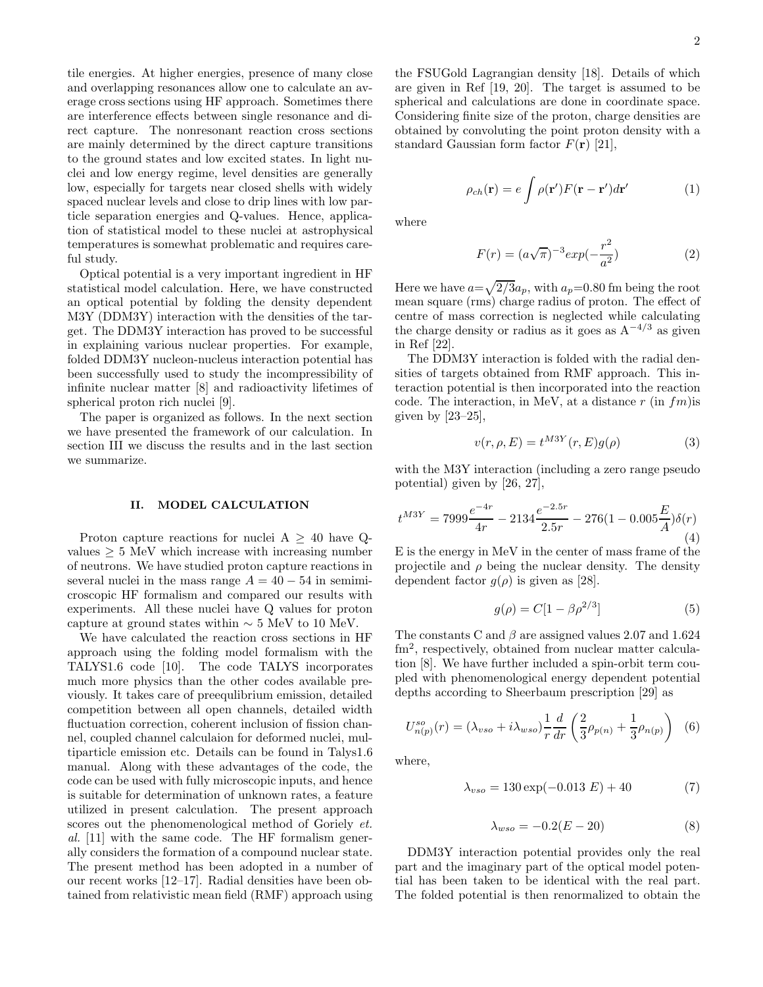tile energies. At higher energies, presence of many close and overlapping resonances allow one to calculate an average cross sections using HF approach. Sometimes there are interference effects between single resonance and direct capture. The nonresonant reaction cross sections are mainly determined by the direct capture transitions to the ground states and low excited states. In light nuclei and low energy regime, level densities are generally low, especially for targets near closed shells with widely spaced nuclear levels and close to drip lines with low particle separation energies and Q-values. Hence, application of statistical model to these nuclei at astrophysical temperatures is somewhat problematic and requires careful study.

Optical potential is a very important ingredient in HF statistical model calculation. Here, we have constructed an optical potential by folding the density dependent M3Y (DDM3Y) interaction with the densities of the target. The DDM3Y interaction has proved to be successful in explaining various nuclear properties. For example, folded DDM3Y nucleon-nucleus interaction potential has been successfully used to study the incompressibility of infinite nuclear matter [8] and radioactivity lifetimes of spherical proton rich nuclei [9].

The paper is organized as follows. In the next section we have presented the framework of our calculation. In section III we discuss the results and in the last section we summarize.

## II. MODEL CALCULATION

Proton capture reactions for nuclei  $A \geq 40$  have Qvalues  $\geq 5$  MeV which increase with increasing number of neutrons. We have studied proton capture reactions in several nuclei in the mass range  $A = 40 - 54$  in semimicroscopic HF formalism and compared our results with experiments. All these nuclei have Q values for proton capture at ground states within  $\sim 5$  MeV to 10 MeV.

We have calculated the reaction cross sections in HF approach using the folding model formalism with the TALYS1.6 code [10]. The code TALYS incorporates much more physics than the other codes available previously. It takes care of preequlibrium emission, detailed competition between all open channels, detailed width fluctuation correction, coherent inclusion of fission channel, coupled channel calculaion for deformed nuclei, multiparticle emission etc. Details can be found in Talys1.6 manual. Along with these advantages of the code, the code can be used with fully microscopic inputs, and hence is suitable for determination of unknown rates, a feature utilized in present calculation. The present approach scores out the phenomenological method of Goriely *et*. al. [11] with the same code. The HF formalism generally considers the formation of a compound nuclear state. The present method has been adopted in a number of our recent works [12–17]. Radial densities have been obtained from relativistic mean field (RMF) approach using

the FSUGold Lagrangian density [18]. Details of which are given in Ref [19, 20]. The target is assumed to be spherical and calculations are done in coordinate space. Considering finite size of the proton, charge densities are obtained by convoluting the point proton density with a standard Gaussian form factor  $F(\mathbf{r})$  [21],

$$
\rho_{ch}(\mathbf{r}) = e \int \rho(\mathbf{r}') F(\mathbf{r} - \mathbf{r}') d\mathbf{r}' \tag{1}
$$

where

$$
F(r) = (a\sqrt{\pi})^{-3} exp(-\frac{r^2}{a^2})
$$
 (2)

Here we have  $a=\sqrt{2/3}a_p$ , with  $a_p=0.80$  fm being the root mean square (rms) charge radius of proton. The effect of centre of mass correction is neglected while calculating the charge density or radius as it goes as  $A^{-4/3}$  as given in Ref [22].

The DDM3Y interaction is folded with the radial densities of targets obtained from RMF approach. This interaction potential is then incorporated into the reaction code. The interaction, in MeV, at a distance  $r$  (in  $fm$ ) is given by  $[23-25]$ ,

$$
v(r, \rho, E) = t^{M3Y}(r, E)g(\rho)
$$
\n(3)

with the M3Y interaction (including a zero range pseudo potential) given by [26, 27],

$$
t^{M3Y} = 7999 \frac{e^{-4r}}{4r} - 2134 \frac{e^{-2.5r}}{2.5r} - 276(1 - 0.005 \frac{E}{A})\delta(r)
$$
\n(4)

E is the energy in MeV in the center of mass frame of the projectile and  $\rho$  being the nuclear density. The density dependent factor  $g(\rho)$  is given as [28].

$$
g(\rho) = C[1 - \beta \rho^{2/3}] \tag{5}
$$

The constants C and  $\beta$  are assigned values 2.07 and 1.624 fm<sup>2</sup>, respectively, obtained from nuclear matter calculation [8]. We have further included a spin-orbit term coupled with phenomenological energy dependent potential depths according to Sheerbaum prescription [29] as

$$
U_{n(p)}^{so}(r) = (\lambda_{vso} + i\lambda_{wso})\frac{1}{r}\frac{d}{dr}\left(\frac{2}{3}\rho_{p(n)} + \frac{1}{3}\rho_{n(p)}\right) (6)
$$

where,

$$
\lambda_{vso} = 130 \exp(-0.013 E) + 40 \tag{7}
$$

$$
\lambda_{wso} = -0.2(E - 20) \tag{8}
$$

DDM3Y interaction potential provides only the real part and the imaginary part of the optical model potential has been taken to be identical with the real part. The folded potential is then renormalized to obtain the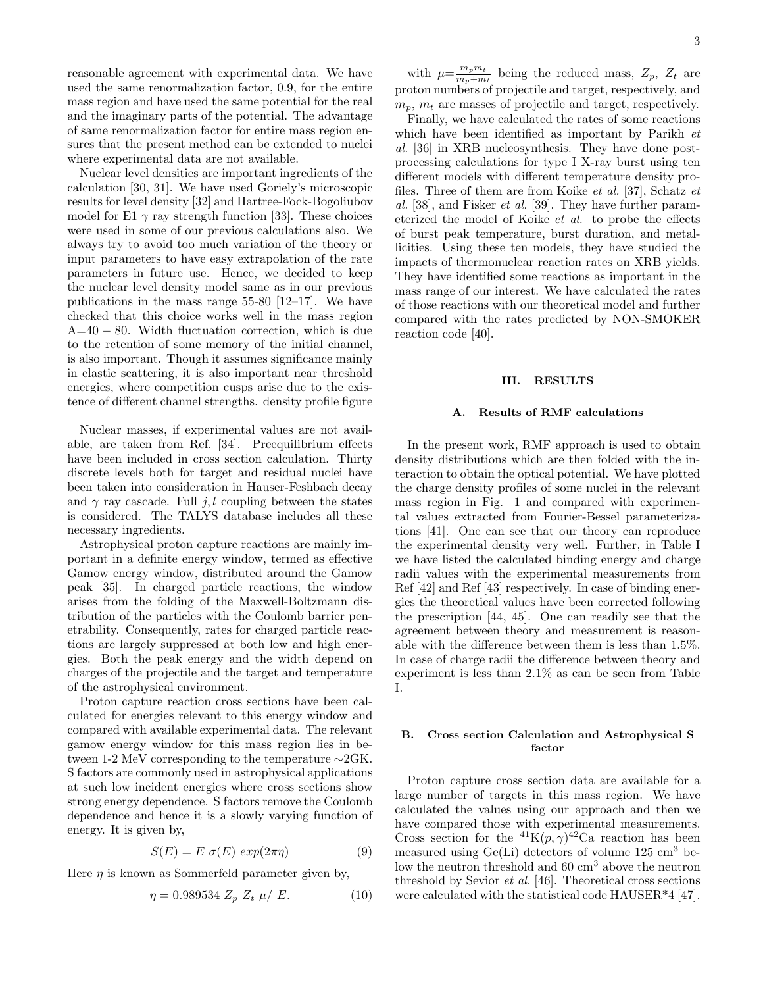reasonable agreement with experimental data. We have used the same renormalization factor, 0.9, for the entire mass region and have used the same potential for the real and the imaginary parts of the potential. The advantage of same renormalization factor for entire mass region ensures that the present method can be extended to nuclei where experimental data are not available.

Nuclear level densities are important ingredients of the calculation [30, 31]. We have used Goriely's microscopic results for level density [32] and Hartree-Fock-Bogoliubov model for E1  $\gamma$  ray strength function [33]. These choices were used in some of our previous calculations also. We always try to avoid too much variation of the theory or input parameters to have easy extrapolation of the rate parameters in future use. Hence, we decided to keep the nuclear level density model same as in our previous publications in the mass range 55-80 [12–17]. We have checked that this choice works well in the mass region A=40 − 80. Width fluctuation correction, which is due to the retention of some memory of the initial channel, is also important. Though it assumes significance mainly in elastic scattering, it is also important near threshold energies, where competition cusps arise due to the existence of different channel strengths. density profile figure

Nuclear masses, if experimental values are not available, are taken from Ref. [34]. Preequilibrium effects have been included in cross section calculation. Thirty discrete levels both for target and residual nuclei have been taken into consideration in Hauser-Feshbach decay and  $\gamma$  ray cascade. Full j, l coupling between the states is considered. The TALYS database includes all these necessary ingredients.

Astrophysical proton capture reactions are mainly important in a definite energy window, termed as effective Gamow energy window, distributed around the Gamow peak [35]. In charged particle reactions, the window arises from the folding of the Maxwell-Boltzmann distribution of the particles with the Coulomb barrier penetrability. Consequently, rates for charged particle reactions are largely suppressed at both low and high energies. Both the peak energy and the width depend on charges of the projectile and the target and temperature of the astrophysical environment.

Proton capture reaction cross sections have been calculated for energies relevant to this energy window and compared with available experimental data. The relevant gamow energy window for this mass region lies in between 1-2 MeV corresponding to the temperature ∼2GK. S factors are commonly used in astrophysical applications at such low incident energies where cross sections show strong energy dependence. S factors remove the Coulomb dependence and hence it is a slowly varying function of energy. It is given by,

$$
S(E) = E \sigma(E) \exp(2\pi \eta) \tag{9}
$$

Here  $\eta$  is known as Sommerfeld parameter given by,

$$
\eta = 0.989534 Z_p Z_t \mu / E. \tag{10}
$$

with  $\mu = \frac{m_p m_t}{m_t + m_t}$  $\frac{m_p m_t}{m_p + m_t}$  being the reduced mass,  $Z_p$ ,  $Z_t$  are proton numbers of projectile and target, respectively, and  $m_p$ ,  $m_t$  are masses of projectile and target, respectively.

Finally, we have calculated the rates of some reactions which have been identified as important by Parikh *et* al. [36] in XRB nucleosynthesis. They have done postprocessing calculations for type I X-ray burst using ten different models with different temperature density profiles. Three of them are from Koike et al. [37], Schatz et al. [38], and Fisker et al. [39]. They have further parameterized the model of Koike et al. to probe the effects of burst peak temperature, burst duration, and metallicities. Using these ten models, they have studied the impacts of thermonuclear reaction rates on XRB yields. They have identified some reactions as important in the mass range of our interest. We have calculated the rates of those reactions with our theoretical model and further compared with the rates predicted by NON-SMOKER reaction code [40].

#### III. RESULTS

### A. Results of RMF calculations

In the present work, RMF approach is used to obtain density distributions which are then folded with the interaction to obtain the optical potential. We have plotted the charge density profiles of some nuclei in the relevant mass region in Fig. 1 and compared with experimental values extracted from Fourier-Bessel parameterizations [41]. One can see that our theory can reproduce the experimental density very well. Further, in Table I we have listed the calculated binding energy and charge radii values with the experimental measurements from Ref [42] and Ref [43] respectively. In case of binding energies the theoretical values have been corrected following the prescription [44, 45]. One can readily see that the agreement between theory and measurement is reasonable with the difference between them is less than 1.5%. In case of charge radii the difference between theory and experiment is less than 2.1% as can be seen from Table I.

### B. Cross section Calculation and Astrophysical S factor

Proton capture cross section data are available for a large number of targets in this mass region. We have calculated the values using our approach and then we have compared those with experimental measurements. Cross section for the <sup>41</sup>K $(p, \gamma)^{42}$ Ca reaction has been measured using  $Ge(Li)$  detectors of volume 125 cm<sup>3</sup> below the neutron threshold and 60 cm<sup>3</sup> above the neutron threshold by Sevior et al. [46]. Theoretical cross sections were calculated with the statistical code HAUSER\*4 [47].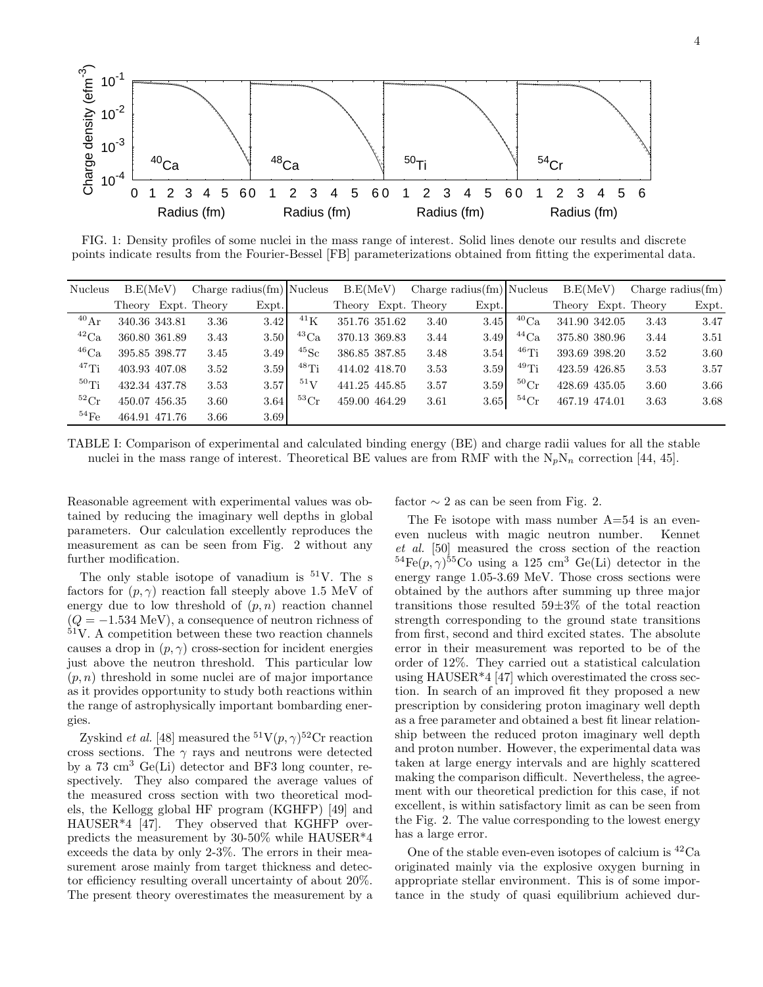

FIG. 1: Density profiles of some nuclei in the mass range of interest. Solid lines denote our results and discrete points indicate results from the Fourier-Bessel [FB] parameterizations obtained from fitting the experimental data.

| <b>Nucleus</b>       | B.E(MeV)      |  | Charge radius $\text{(fm)}$ Nucleus |       |                      | B.E(MeV)      |  | Charge radius $(\text{fm})$ Nucleus |       |                      | B.E(MeV)      |  | Charge radius $\text{fm}$ ) |       |
|----------------------|---------------|--|-------------------------------------|-------|----------------------|---------------|--|-------------------------------------|-------|----------------------|---------------|--|-----------------------------|-------|
|                      |               |  | Theory Expt. Theory                 | Expt. |                      |               |  | Theory Expt. Theory                 | Expt. |                      |               |  | Theory Expt. Theory         | Expt. |
| $^{40}\mathrm{Ar}$   | 340.36 343.81 |  | 3.36                                | 3.42  | $^{41}$ K            | 351.76 351.62 |  | 3.40                                | 3.45  | $^{40}Ca$            | 341.90 342.05 |  | 3.43                        | 3.47  |
| ${}^{42}Ca$          | 360.80 361.89 |  | 3.43                                | 3.50  | $^{43}Ca$            | 370.13 369.83 |  | 3.44                                | 3.49  | $^{44}$ Ca           | 375.80 380.96 |  | 3.44                        | 3.51  |
| $^{46}Ca$            | 395.85 398.77 |  | 3.45                                | 3.49  | $^{45}$ Sc           | 386.85 387.85 |  | 3.48                                | 3.54  | $46$ Ti              | 393.69 398.20 |  | 3.52                        | 3.60  |
| $47$ Ti              | 403.93 407.08 |  | 3.52                                | 3.59  | $^{48}$ Ti           | 414.02 418.70 |  | 3.53                                | 3.59  | $49$ Ti              | 423.59 426.85 |  | 3.53                        | 3.57  |
| 50T <sub>i</sub>     | 432.34 437.78 |  | 3.53                                | 3.57  | $^{51}V$             | 441.25 445.85 |  | 3.57                                | 3.59  | ${}^{50}\mathrm{Cr}$ | 428.69 435.05 |  | 3.60                        | 3.66  |
| ${}^{52}\mathrm{Cr}$ | 450.07 456.35 |  | 3.60                                | 3.64  | ${}^{53}\mathrm{Cr}$ | 459.00 464.29 |  | 3.61                                | 3.65  | ${}^{54}\mathrm{Cr}$ | 467.19 474.01 |  | 3.63                        | 3.68  |
| ${}^{54}\mathrm{Fe}$ | 464.91 471.76 |  | 3.66                                | 3.69  |                      |               |  |                                     |       |                      |               |  |                             |       |

TABLE I: Comparison of experimental and calculated binding energy (BE) and charge radii values for all the stable nuclei in the mass range of interest. Theoretical BE values are from RMF with the  $N_pN_n$  correction [44, 45].

Reasonable agreement with experimental values was obtained by reducing the imaginary well depths in global parameters. Our calculation excellently reproduces the measurement as can be seen from Fig. 2 without any further modification.

The only stable isotope of vanadium is  $51V$ . The s factors for  $(p, \gamma)$  reaction fall steeply above 1.5 MeV of energy due to low threshold of  $(p, n)$  reaction channel  $(Q = -1.534 \text{ MeV})$ , a consequence of neutron richness of  $51V$ . A competition between these two reaction channels causes a drop in  $(p, \gamma)$  cross-section for incident energies just above the neutron threshold. This particular low  $(p, n)$  threshold in some nuclei are of major importance as it provides opportunity to study both reactions within the range of astrophysically important bombarding energies.

Zyskind *et al.* [48] measured the <sup>51</sup> $V(p, \gamma)$ <sup>52</sup>Cr reaction cross sections. The  $\gamma$  rays and neutrons were detected by a  $73 \text{ cm}^3$  Ge(Li) detector and BF3 long counter, respectively. They also compared the average values of the measured cross section with two theoretical models, the Kellogg global HF program (KGHFP) [49] and HAUSER\*4 [47]. They observed that KGHFP overpredicts the measurement by 30-50% while HAUSER\*4 exceeds the data by only 2-3%. The errors in their measurement arose mainly from target thickness and detector efficiency resulting overall uncertainty of about 20%. The present theory overestimates the measurement by a factor  $\sim$  2 as can be seen from Fig. 2.

The Fe isotope with mass number  $A=54$  is an eveneven nucleus with magic neutron number. Kennet et al. [50] measured the cross section of the reaction  ${}^{54}Fe(p,\gamma){}^{55}Co$  using a 125 cm<sup>3</sup> Ge(Li) detector in the energy range 1.05-3.69 MeV. Those cross sections were obtained by the authors after summing up three major transitions those resulted 59±3% of the total reaction strength corresponding to the ground state transitions from first, second and third excited states. The absolute error in their measurement was reported to be of the order of 12%. They carried out a statistical calculation using HAUSER\*4 [47] which overestimated the cross section. In search of an improved fit they proposed a new prescription by considering proton imaginary well depth as a free parameter and obtained a best fit linear relationship between the reduced proton imaginary well depth and proton number. However, the experimental data was taken at large energy intervals and are highly scattered making the comparison difficult. Nevertheless, the agreement with our theoretical prediction for this case, if not excellent, is within satisfactory limit as can be seen from the Fig. 2. The value corresponding to the lowest energy has a large error.

One of the stable even-even isotopes of calcium is  ${}^{42}Ca$ originated mainly via the explosive oxygen burning in appropriate stellar environment. This is of some importance in the study of quasi equilibrium achieved dur-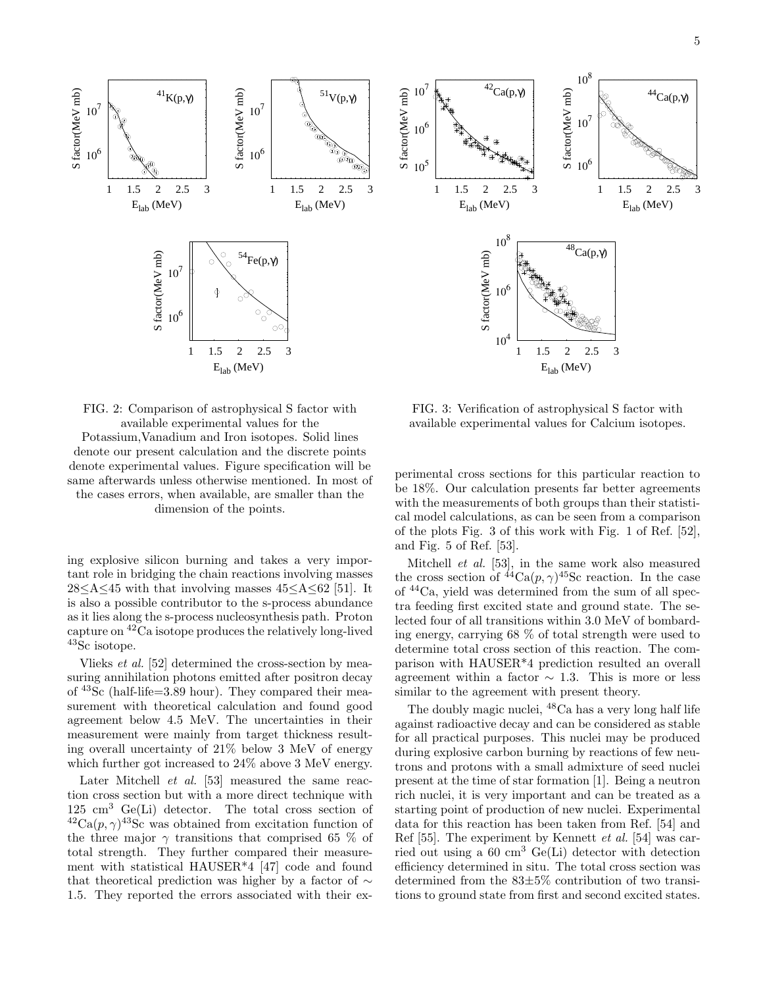

FIG. 2: Comparison of astrophysical S factor with available experimental values for the Potassium,Vanadium and Iron isotopes. Solid lines denote our present calculation and the discrete points denote experimental values. Figure specification will be same afterwards unless otherwise mentioned. In most of the cases errors, when available, are smaller than the dimension of the points.

ing explosive silicon burning and takes a very important role in bridging the chain reactions involving masses  $28<\text{A}\leq45$  with that involving masses  $45<\text{A}\leq62$  [51]. It is also a possible contributor to the s-process abundance as it lies along the s-process nucleosynthesis path. Proton capture on <sup>42</sup>Ca isotope produces the relatively long-lived <sup>43</sup>Sc isotope.

Vlieks et al. [52] determined the cross-section by measuring annihilation photons emitted after positron decay of <sup>43</sup>Sc (half-life=3.89 hour). They compared their measurement with theoretical calculation and found good agreement below 4.5 MeV. The uncertainties in their measurement were mainly from target thickness resulting overall uncertainty of 21% below 3 MeV of energy which further got increased to 24% above 3 MeV energy.

Later Mitchell et al. [53] measured the same reaction cross section but with a more direct technique with  $125 \text{ cm}^3$  Ge(Li) detector. The total cross section of  ${}^{42}Ca(p,\gamma){}^{43}Sc$  was obtained from excitation function of the three major  $\gamma$  transitions that comprised 65 % of total strength. They further compared their measurement with statistical HAUSER\*4 [47] code and found that theoretical prediction was higher by a factor of  $\sim$ 1.5. They reported the errors associated with their ex-

FIG. 3: Verification of astrophysical S factor with available experimental values for Calcium isotopes.

perimental cross sections for this particular reaction to be 18%. Our calculation presents far better agreements with the measurements of both groups than their statistical model calculations, as can be seen from a comparison of the plots Fig. 3 of this work with Fig. 1 of Ref. [52], and Fig. 5 of Ref. [53].

Mitchell et al. [53], in the same work also measured the cross section of  ${}^{44}Ca(p,\gamma){}^{45}Sc$  reaction. In the case of <sup>44</sup>Ca, yield was determined from the sum of all spectra feeding first excited state and ground state. The selected four of all transitions within 3.0 MeV of bombarding energy, carrying 68 % of total strength were used to determine total cross section of this reaction. The comparison with HAUSER\*4 prediction resulted an overall agreement within a factor  $\sim$  1.3. This is more or less similar to the agreement with present theory.

The doubly magic nuclei, <sup>48</sup>Ca has a very long half life against radioactive decay and can be considered as stable for all practical purposes. This nuclei may be produced during explosive carbon burning by reactions of few neutrons and protons with a small admixture of seed nuclei present at the time of star formation [1]. Being a neutron rich nuclei, it is very important and can be treated as a starting point of production of new nuclei. Experimental data for this reaction has been taken from Ref. [54] and Ref [55]. The experiment by Kennett et al. [54] was carried out using a  $60 \text{ cm}^3$  Ge(Li) detector with detection efficiency determined in situ. The total cross section was determined from the 83±5% contribution of two transitions to ground state from first and second excited states.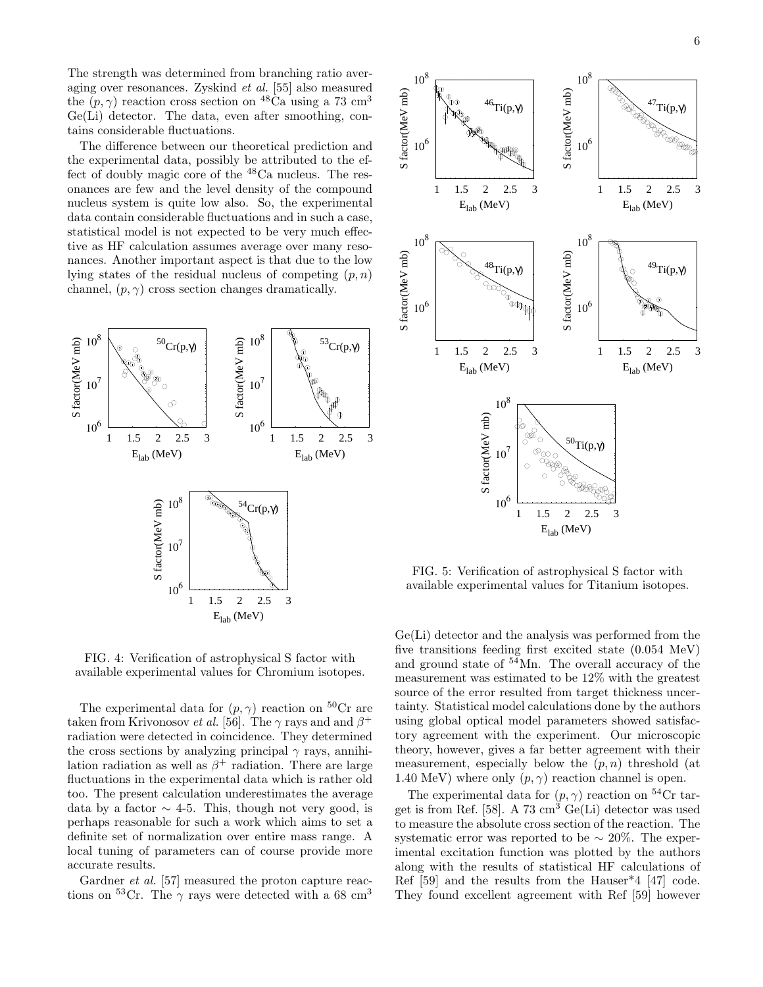The strength was determined from branching ratio averaging over resonances. Zyskind et al. [55] also measured the  $(p, \gamma)$  reaction cross section on <sup>48</sup>Ca using a 73 cm<sup>3</sup> Ge(Li) detector. The data, even after smoothing, contains considerable fluctuations.

The difference between our theoretical prediction and the experimental data, possibly be attributed to the effect of doubly magic core of the <sup>48</sup>Ca nucleus. The resonances are few and the level density of the compound nucleus system is quite low also. So, the experimental data contain considerable fluctuations and in such a case, statistical model is not expected to be very much effective as HF calculation assumes average over many resonances. Another important aspect is that due to the low lying states of the residual nucleus of competing  $(p, n)$ channel,  $(p, \gamma)$  cross section changes dramatically.



FIG. 4: Verification of astrophysical S factor with available experimental values for Chromium isotopes.

The experimental data for  $(p, \gamma)$  reaction on <sup>50</sup>Cr are taken from Krivonosov *et al.* [56]. The  $\gamma$  rays and and  $\beta^+$ radiation were detected in coincidence. They determined the cross sections by analyzing principal  $\gamma$  rays, annihilation radiation as well as  $\beta^+$  radiation. There are large fluctuations in the experimental data which is rather old too. The present calculation underestimates the average data by a factor  $\sim$  4-5. This, though not very good, is perhaps reasonable for such a work which aims to set a definite set of normalization over entire mass range. A local tuning of parameters can of course provide more accurate results.

Gardner et al. [57] measured the proton capture reactions on <sup>53</sup>Cr. The  $\gamma$  rays were detected with a 68 cm<sup>3</sup>



FIG. 5: Verification of astrophysical S factor with available experimental values for Titanium isotopes.

Ge(Li) detector and the analysis was performed from the five transitions feeding first excited state (0.054 MeV) and ground state of <sup>54</sup>Mn. The overall accuracy of the measurement was estimated to be 12% with the greatest source of the error resulted from target thickness uncertainty. Statistical model calculations done by the authors using global optical model parameters showed satisfactory agreement with the experiment. Our microscopic theory, however, gives a far better agreement with their measurement, especially below the  $(p, n)$  threshold (at 1.40 MeV) where only  $(p, \gamma)$  reaction channel is open.

The experimental data for  $(p, \gamma)$  reaction on <sup>54</sup>Cr target is from Ref. [58]. A 73  $\text{cm}^3$  Ge(Li) detector was used to measure the absolute cross section of the reaction. The systematic error was reported to be  $\sim 20\%$ . The experimental excitation function was plotted by the authors along with the results of statistical HF calculations of Ref [59] and the results from the Hauser\*4 [47] code. They found excellent agreement with Ref [59] however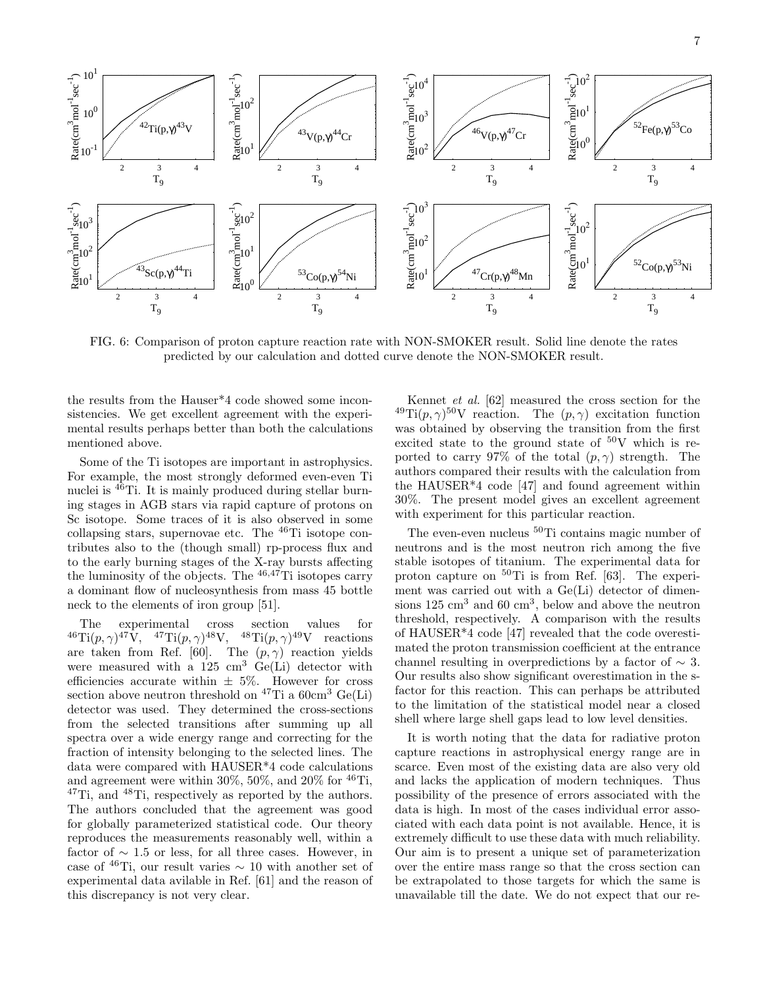

FIG. 6: Comparison of proton capture reaction rate with NON-SMOKER result. Solid line denote the rates predicted by our calculation and dotted curve denote the NON-SMOKER result.

the results from the Hauser\*4 code showed some inconsistencies. We get excellent agreement with the experimental results perhaps better than both the calculations mentioned above.

Some of the Ti isotopes are important in astrophysics. For example, the most strongly deformed even-even Ti nuclei is <sup>46</sup>Ti. It is mainly produced during stellar burning stages in AGB stars via rapid capture of protons on Sc isotope. Some traces of it is also observed in some collapsing stars, supernovae etc. The  $^{46}$ Ti isotope contributes also to the (though small) rp-process flux and to the early burning stages of the X-ray bursts affecting the luminosity of the objects. The  $46,47$ Ti isotopes carry a dominant flow of nucleosynthesis from mass 45 bottle neck to the elements of iron group [51].

The experimental cross section values for  ${}^{46}\text{Ti}(p,\gamma){}^{47}\text{V}, \quad {}^{47}\text{Ti}(p,\gamma){}^{48}\text{V}, \quad {}^{48}\text{Ti}(p,\gamma){}^{49}\text{V} \quad \text{reactions}$ are taken from Ref. [60]. The  $(p, \gamma)$  reaction yields were measured with a  $125 \text{ cm}^3$  Ge(Li) detector with efficiencies accurate within  $\pm 5\%$ . However for cross section above neutron threshold on  $47$ Ti a  $60 \text{cm}^3$  Ge(Li) detector was used. They determined the cross-sections from the selected transitions after summing up all spectra over a wide energy range and correcting for the fraction of intensity belonging to the selected lines. The data were compared with HAUSER\*4 code calculations and agreement were within 30%, 50%, and 20% for  ${}^{46}Ti$ , <sup>47</sup>Ti, and <sup>48</sup>Ti, respectively as reported by the authors. The authors concluded that the agreement was good for globally parameterized statistical code. Our theory reproduces the measurements reasonably well, within a factor of  $\sim$  1.5 or less, for all three cases. However, in case of <sup>46</sup>Ti, our result varies  $\sim$  10 with another set of experimental data avilable in Ref. [61] and the reason of this discrepancy is not very clear.

Kennet et al. [62] measured the cross section for the <sup>49</sup>Ti $(p, \gamma)$ <sup>50</sup>V reaction. The  $(p, \gamma)$  excitation function was obtained by observing the transition from the first excited state to the ground state of  $50V$  which is reported to carry 97% of the total  $(p, \gamma)$  strength. The authors compared their results with the calculation from the HAUSER\*4 code [47] and found agreement within 30%. The present model gives an excellent agreement with experiment for this particular reaction.

The even-even nucleus <sup>50</sup>Ti contains magic number of neutrons and is the most neutron rich among the five stable isotopes of titanium. The experimental data for proton capture on  ${}^{50}$ Ti is from Ref. [63]. The experiment was carried out with a Ge(Li) detector of dimensions  $125 \text{ cm}^3$  and  $60 \text{ cm}^3$ , below and above the neutron threshold, respectively. A comparison with the results of HAUSER\*4 code [47] revealed that the code overestimated the proton transmission coefficient at the entrance channel resulting in overpredictions by a factor of  $\sim$  3. Our results also show significant overestimation in the sfactor for this reaction. This can perhaps be attributed to the limitation of the statistical model near a closed shell where large shell gaps lead to low level densities.

It is worth noting that the data for radiative proton capture reactions in astrophysical energy range are in scarce. Even most of the existing data are also very old and lacks the application of modern techniques. Thus possibility of the presence of errors associated with the data is high. In most of the cases individual error associated with each data point is not available. Hence, it is extremely difficult to use these data with much reliability. Our aim is to present a unique set of parameterization over the entire mass range so that the cross section can be extrapolated to those targets for which the same is unavailable till the date. We do not expect that our re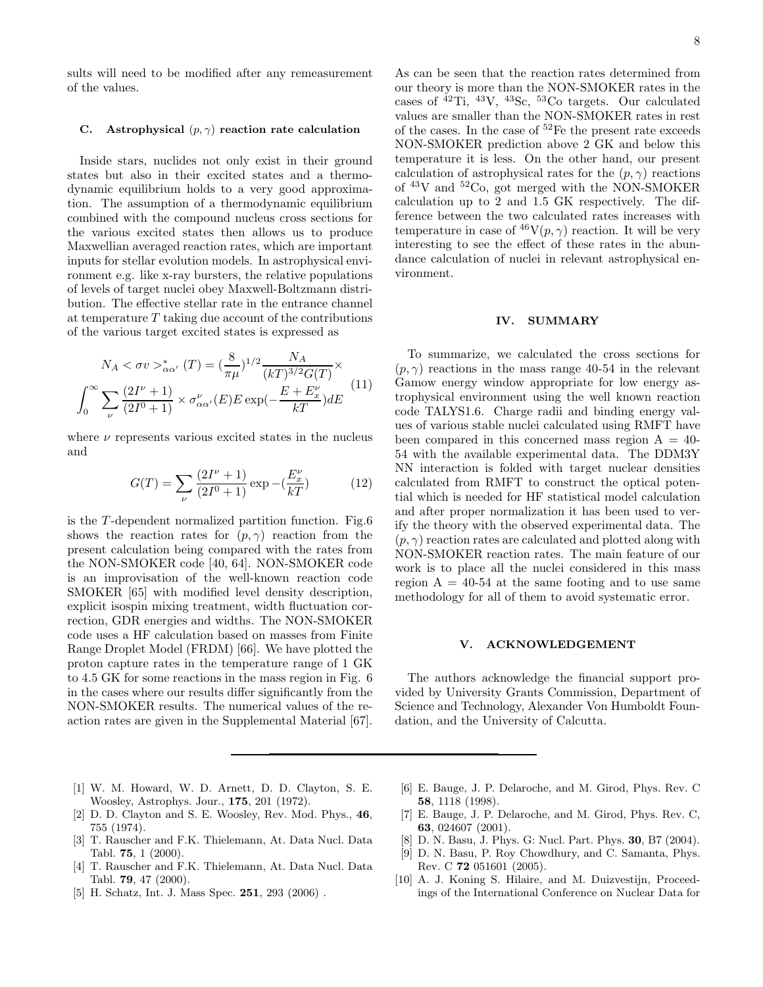sults will need to be modified after any remeasurement of the values.

## C. Astrophysical  $(p, \gamma)$  reaction rate calculation

Inside stars, nuclides not only exist in their ground states but also in their excited states and a thermodynamic equilibrium holds to a very good approximation. The assumption of a thermodynamic equilibrium combined with the compound nucleus cross sections for the various excited states then allows us to produce Maxwellian averaged reaction rates, which are important inputs for stellar evolution models. In astrophysical environment e.g. like x-ray bursters, the relative populations of levels of target nuclei obey Maxwell-Boltzmann distribution. The effective stellar rate in the entrance channel at temperature  $T$  taking due account of the contributions of the various target excited states is expressed as

$$
N_A < \sigma v >_{\alpha\alpha'}^* (T) = \left(\frac{8}{\pi\mu}\right)^{1/2} \frac{N_A}{(kT)^{3/2} G(T)} \times \int_0^\infty \sum_{\nu} \frac{(2I^{\nu} + 1)}{(2I^0 + 1)} \times \sigma_{\alpha\alpha'}^{\nu} (E) E \exp\left(-\frac{E + E_x^{\nu}}{kT}\right) dE \tag{11}
$$

where  $\nu$  represents various excited states in the nucleus and

$$
G(T) = \sum_{\nu} \frac{(2I^{\nu} + 1)}{(2I^0 + 1)} \exp(-(\frac{E_x^{\nu}}{kT})
$$
 (12)

is the T -dependent normalized partition function. Fig.6 shows the reaction rates for  $(p, \gamma)$  reaction from the present calculation being compared with the rates from the NON-SMOKER code [40, 64]. NON-SMOKER code is an improvisation of the well-known reaction code SMOKER [65] with modified level density description, explicit isospin mixing treatment, width fluctuation correction, GDR energies and widths. The NON-SMOKER code uses a HF calculation based on masses from Finite Range Droplet Model (FRDM) [66]. We have plotted the proton capture rates in the temperature range of 1 GK to 4.5 GK for some reactions in the mass region in Fig. 6 in the cases where our results differ significantly from the NON-SMOKER results. The numerical values of the reaction rates are given in the Supplemental Material [67].

As can be seen that the reaction rates determined from our theory is more than the NON-SMOKER rates in the cases of  $^{42}$ Ti,  $^{43}$ V,  $^{43}$ Sc,  $^{53}$ Co targets. Our calculated values are smaller than the NON-SMOKER rates in rest of the cases. In the case of <sup>52</sup>Fe the present rate exceeds NON-SMOKER prediction above 2 GK and below this temperature it is less. On the other hand, our present calculation of astrophysical rates for the  $(p, \gamma)$  reactions of  $43V$  and  $52Co$ , got merged with the NON-SMOKER calculation up to 2 and 1.5 GK respectively. The difference between the two calculated rates increases with temperature in case of  ${}^{46}\mathrm{V}(p,\gamma)$  reaction. It will be very interesting to see the effect of these rates in the abundance calculation of nuclei in relevant astrophysical environment.

#### IV. SUMMARY

To summarize, we calculated the cross sections for  $(p, \gamma)$  reactions in the mass range 40-54 in the relevant Gamow energy window appropriate for low energy astrophysical environment using the well known reaction code TALYS1.6. Charge radii and binding energy values of various stable nuclei calculated using RMFT have been compared in this concerned mass region  $A = 40$ -54 with the available experimental data. The DDM3Y NN interaction is folded with target nuclear densities calculated from RMFT to construct the optical potential which is needed for HF statistical model calculation and after proper normalization it has been used to verify the theory with the observed experimental data. The  $(p, \gamma)$  reaction rates are calculated and plotted along with NON-SMOKER reaction rates. The main feature of our work is to place all the nuclei considered in this mass region  $A = 40-54$  at the same footing and to use same methodology for all of them to avoid systematic error.

## V. ACKNOWLEDGEMENT

The authors acknowledge the financial support provided by University Grants Commission, Department of Science and Technology, Alexander Von Humboldt Foundation, and the University of Calcutta.

- [1] W. M. Howard, W. D. Arnett, D. D. Clayton, S. E. Woosley, Astrophys. Jour., 175, 201 (1972).
- [2] D. D. Clayton and S. E. Woosley, Rev. Mod. Phys., 46, 755 (1974).
- [3] T. Rauscher and F.K. Thielemann, At. Data Nucl. Data Tabl. 75, 1 (2000).
- [4] T. Rauscher and F.K. Thielemann, At. Data Nucl. Data Tabl. 79, 47 (2000).
- [5] H. Schatz, Int. J. Mass Spec. **251**, 293 (2006).
- [6] E. Bauge, J. P. Delaroche, and M. Girod, Phys. Rev. C 58, 1118 (1998).
- [7] E. Bauge, J. P. Delaroche, and M. Girod, Phys. Rev. C, 63, 024607 (2001).
- [8] D. N. Basu, J. Phys. G: Nucl. Part. Phys. 30, B7 (2004).
- [9] D. N. Basu, P. Roy Chowdhury, and C. Samanta, Phys. Rev. C 72 051601 (2005).
- [10] A. J. Koning S. Hilaire, and M. Duizvestijn, Proceedings of the International Conference on Nuclear Data for